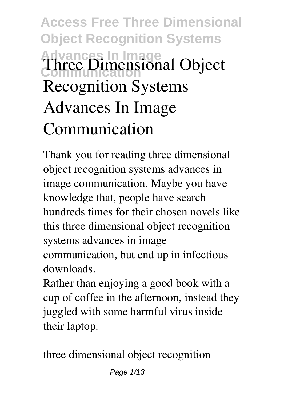# **Access Free Three Dimensional Object Recognition Systems Advances In Image Communication Three Dimensional Object Recognition Systems Advances In Image Communication**

Thank you for reading **three dimensional object recognition systems advances in image communication**. Maybe you have knowledge that, people have search hundreds times for their chosen novels like this three dimensional object recognition systems advances in image communication, but end up in infectious downloads.

Rather than enjoying a good book with a cup of coffee in the afternoon, instead they juggled with some harmful virus inside their laptop.

three dimensional object recognition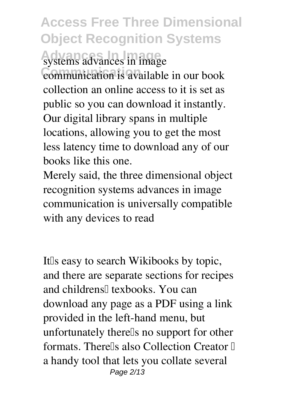# **Access Free Three Dimensional Object Recognition Systems Advances In Image** systems advances in image

**Communication** communication is available in our book collection an online access to it is set as public so you can download it instantly. Our digital library spans in multiple locations, allowing you to get the most less latency time to download any of our books like this one.

Merely said, the three dimensional object recognition systems advances in image communication is universally compatible with any devices to read

It<sup>Is</sup> easy to search Wikibooks by topic, and there are separate sections for recipes and childrens<sup>[]</sup> texbooks. You can download any page as a PDF using a link provided in the left-hand menu, but unfortunately there<sup>[]</sup>s no support for other formats. There'lls also Collection Creator  $\mathbb I$ a handy tool that lets you collate several Page 2/13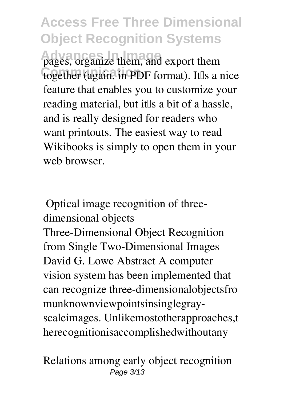**Access Free Three Dimensional Object Recognition Systems** pages, organize them, and export them together (again, in PDF format). It<sup>Is</sup> a nice feature that enables you to customize your reading material, but itlls a bit of a hassle, and is really designed for readers who want printouts. The easiest way to read Wikibooks is simply to open them in your web browser.

**Optical image recognition of threedimensional objects**

Three-Dimensional Object Recognition from Single Two-Dimensional Images David G. Lowe Abstract A computer vision system has been implemented that can recognize three-dimensionalobjectsfro munknownviewpointsinsinglegrayscaleimages. Unlikemostotherapproaches,t herecognitionisaccomplishedwithoutany

**Relations among early object recognition** Page 3/13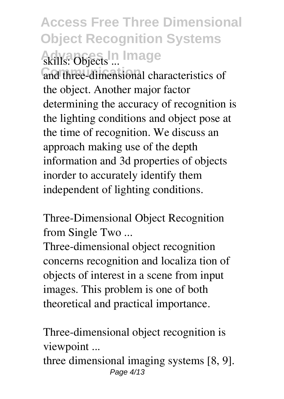# **Access Free Three Dimensional Object Recognition Systems Advances In Image skills: Objects ...**

and three-dimensional characteristics of the object. Another major factor determining the accuracy of recognition is the lighting conditions and object pose at the time of recognition. We discuss an approach making use of the depth information and 3d properties of objects inorder to accurately identify them independent of lighting conditions.

**Three-Dimensional Object Recognition from Single Two ...**

Three-dimensional object recognition concerns recognition and localiza tion of objects of interest in a scene from input images. This problem is one of both theoretical and practical importance.

**Three-dimensional object recognition is viewpoint ...**

three dimensional imaging systems [8, 9]. Page 4/13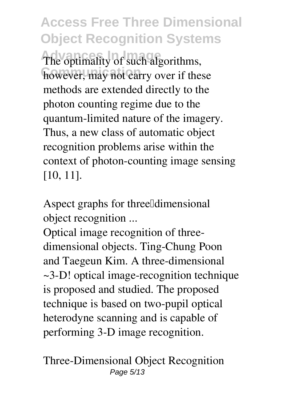**Access Free Three Dimensional Object Recognition Systems** The optimality of such algorithms, however, may not carry over if these methods are extended directly to the photon counting regime due to the quantum-limited nature of the imagery. Thus, a new class of automatic object recognition problems arise within the context of photon-counting image sensing [10, 11].

Aspect graphs for three<sup>[[dimensiona]</sup> **object recognition ...**

Optical image recognition of threedimensional objects. Ting-Chung Poon and Taegeun Kim. A three-dimensional ~3-D! optical image-recognition technique is proposed and studied. The proposed technique is based on two-pupil optical heterodyne scanning and is capable of performing 3-D image recognition.

**Three-Dimensional Object Recognition** Page 5/13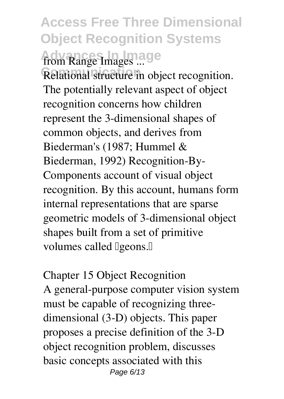# **Access Free Three Dimensional Object Recognition Systems Advances In Image from Range Images ...**

Relational structure in object recognition. The potentially relevant aspect of object recognition concerns how children represent the 3-dimensional shapes of common objects, and derives from Biederman's (1987; Hummel & Biederman, 1992) Recognition-By-Components account of visual object recognition. By this account, humans form internal representations that are sparse geometric models of 3-dimensional object shapes built from a set of primitive volumes called **Igeons.** 

**Chapter 15 Object Recognition** A general-purpose computer vision system must be capable of recognizing threedimensional (3-D) objects. This paper proposes a precise definition of the 3-D object recognition problem, discusses basic concepts associated with this Page 6/13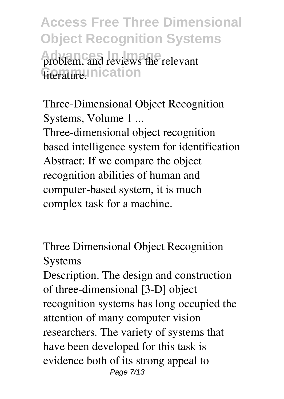**Access Free Three Dimensional Object Recognition Systems** problem, and reviews the relevant *<u>Grature</u>*. Inication

**Three-Dimensional Object Recognition Systems, Volume 1 ...** Three-dimensional object recognition based intelligence system for identification Abstract: If we compare the object recognition abilities of human and computer-based system, it is much complex task for a machine.

**Three Dimensional Object Recognition Systems**

Description. The design and construction of three-dimensional [3-D] object recognition systems has long occupied the attention of many computer vision researchers. The variety of systems that have been developed for this task is evidence both of its strong appeal to Page 7/13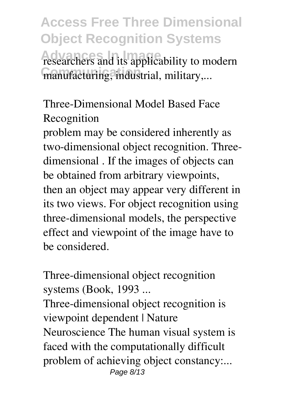**Access Free Three Dimensional Object Recognition Systems** researchers and its applicability to modern manufacturing, industrial, military,...

**Three-Dimensional Model Based Face Recognition**

problem may be considered inherently as two-dimensional object recognition. Threedimensional . If the images of objects can be obtained from arbitrary viewpoints, then an object may appear very different in its two views. For object recognition using three-dimensional models, the perspective effect and viewpoint of the image have to be considered.

**Three-dimensional object recognition systems (Book, 1993 ...**

Three-dimensional object recognition is viewpoint dependent | Nature Neuroscience The human visual system is faced with the computationally difficult problem of achieving object constancy:... Page 8/13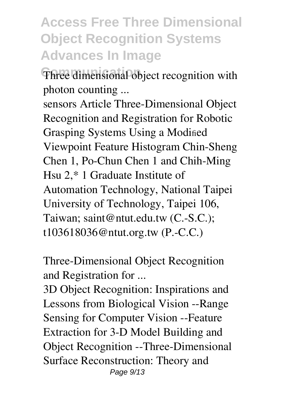#### **Access Free Three Dimensional Object Recognition Systems Advances In Image**

**Three dimensional object recognition with photon counting ...**

sensors Article Three-Dimensional Object Recognition and Registration for Robotic Grasping Systems Using a Modified Viewpoint Feature Histogram Chin-Sheng Chen 1, Po-Chun Chen 1 and Chih-Ming Hsu 2,\* 1 Graduate Institute of Automation Technology, National Taipei University of Technology, Taipei 106, Taiwan; saint@ntut.edu.tw (C.-S.C.); t103618036@ntut.org.tw (P.-C.C.)

**Three-Dimensional Object Recognition and Registration for ...**

3D Object Recognition: Inspirations and Lessons from Biological Vision --Range Sensing for Computer Vision --Feature Extraction for 3-D Model Building and Object Recognition --Three-Dimensional Surface Reconstruction: Theory and Page 9/13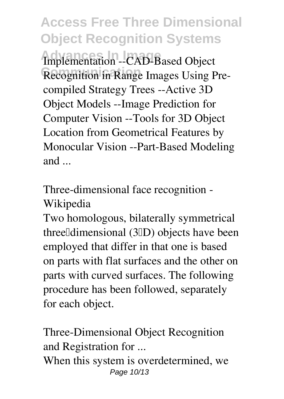**Access Free Three Dimensional Object Recognition Systems Advances In Image** Implementation --CAD-Based Object Recognition in Range Images Using Precompiled Strategy Trees --Active 3D Object Models --Image Prediction for Computer Vision --Tools for 3D Object Location from Geometrical Features by Monocular Vision --Part-Based Modeling and ...

**Three-dimensional face recognition - Wikipedia**

Two homologous, bilaterally symmetrical three dimensional (3 D) objects have been employed that differ in that one is based on parts with flat surfaces and the other on parts with curved surfaces. The following procedure has been followed, separately for each object.

**Three-Dimensional Object Recognition and Registration for ...** When this system is overdetermined, we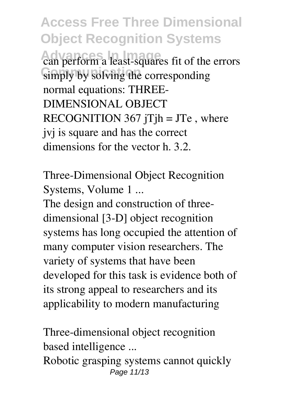**Access Free Three Dimensional Object Recognition Systems Advances In Image** can perform a least-squares fit of the errors simply by solving the corresponding normal equations: THREE-DIMENSIONAL OBJECT RECOGNITION 367 jTjh = JTe, where jvj is square and has the correct dimensions for the vector h. 3.2.

**Three-Dimensional Object Recognition Systems, Volume 1 ...**

The design and construction of threedimensional [3-D] object recognition systems has long occupied the attention of many computer vision researchers. The variety of systems that have been developed for this task is evidence both of its strong appeal to researchers and its applicability to modern manufacturing

**Three-dimensional object recognition based intelligence ...**

Robotic grasping systems cannot quickly Page 11/13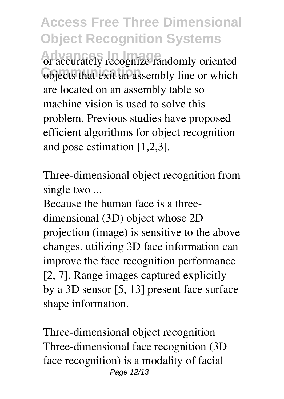**Access Free Three Dimensional Object Recognition Systems Advances In Image** or accurately recognize randomly oriented **Objects that exit an assembly line or which** are located on an assembly table so machine vision is used to solve this problem. Previous studies have proposed efficient algorithms for object recognition and pose estimation [1,2,3].

**Three-dimensional object recognition from single two ...**

Because the human face is a threedimensional (3D) object whose 2D projection (image) is sensitive to the above changes, utilizing 3D face information can improve the face recognition performance [2, 7]. Range images captured explicitly by a 3D sensor [5, 13] present face surface shape information.

**Three-dimensional object recognition** Three-dimensional face recognition (3D face recognition) is a modality of facial Page 12/13